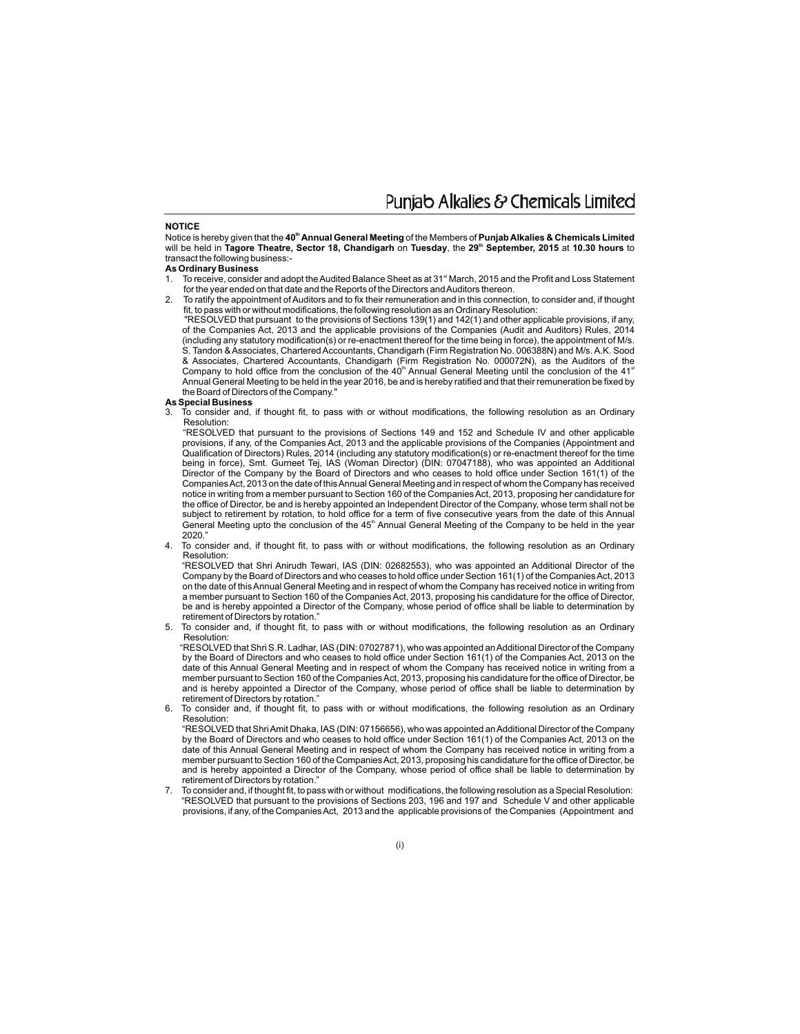Punjab Alkalies & Chemicals Limited

#### **NOTICE**

**th** Notice is hereby given that the **40 Annual General Meeting** of the Members of **Punjab Alkalies & Chemicals Limited** will be held in Tagore Theatre, Sector 18, Chandigarh on Tuesday, the 29<sup>th</sup> September, 2015 at 10.30 hours to transact the following business:-

## **As Ordinary Business**

- To receive, consider and adopt the Audited Balance Sheet as at 31<sup><sup>st</sup> March, 2015 and the Profit and Loss Statement</sup> for the year ended on that date and the Reports of the Directors and Auditors thereon.
- 2. To ratify the appointment of Auditors and to fix their remuneration and in this connection, to consider and, if thought fit, to pass with or without modifications, the following resolution as an Ordinary Resolution:

"RESOLVED that pursuant to the provisions of Sections 139(1) and 142(1) and other applicable provisions, if any, of the Companies Act, 2013 and the applicable provisions of the Companies (Audit and Auditors) Rules, 2014 (including any statutory modification(s) or re-enactment thereof for the time being in force), the appointment of M/s. S. Tandon & Associates, Chartered Accountants, Chandigarh (Firm Registration No. 006388N) and M/s. A.K. Sood & Associates, Chartered Accountants, Chandigarh (Firm Registration No. 000072N), as the Auditors of the Company to hold office from the conclusion of the  $40<sup>n</sup>$  Annual General Meeting until the conclusion of the  $41<sup>st</sup>$ Annual General Meeting to be held in the year 2016, be and is hereby ratified and that their remuneration be fixed by the Board of Directors of the Company."

#### **As Special Business**

3. To consider and, if thought fit, to pass with or without modifications, the following resolution as an Ordinary Resolution:

"RESOLVED that pursuant to the provisions of Sections 149 and 152 and Schedule IV and other applicable provisions, if any, of the Companies Act, 2013 and the applicable provisions of the Companies (Appointment and Qualification of Directors) Rules, 2014 (including any statutory modification(s) or re-enactment thereof for the time being in force), Smt. Gurneet Tej, IAS (Woman Director) (DIN: 07047188), who was appointed an Additional Director of the Company by the Board of Directors and who ceases to hold office under Section 161(1) of the Companies Act, 2013 on the date of this Annual General Meeting and in respect of whom the Company has received notice in writing from a member pursuant to Section 160 of the Companies Act, 2013, proposing her candidature for the office of Director, be and is hereby appointed an Independent Director of the Company, whose term shall not be subject to retirement by rotation, to hold office for a term of five consecutive years from the date of this Annual General Meeting upto the conclusion of the 45<sup>th</sup> Annual General Meeting of the Company to be held in the year 2020."

4. To consider and, if thought fit, to pass with or without modifications, the following resolution as an Ordinary Resolution:

"RESOLVED that Shri Anirudh Tewari, IAS (DIN: 02682553), who was appointed an Additional Director of the Company by the Board of Directors and who ceases to hold office under Section 161(1) of the Companies Act, 2013 on the date of this Annual General Meeting and in respect of whom the Company has received notice in writing from a member pursuant to Section 160 of the Companies Act, 2013, proposing his candidature for the office of Director, be and is hereby appointed a Director of the Company, whose period of office shall be liable to determination by retirement of Directors by rotation."

5. To consider and, if thought fit, to pass with or without modifications, the following resolution as an Ordinary Resolution:

 "RESOLVED that Shri S.R. Ladhar, IAS (DIN: 07027871), who was appointed an Additional Director of the Company by the Board of Directors and who ceases to hold office under Section 161(1) of the Companies Act, 2013 on the date of this Annual General Meeting and in respect of whom the Company has received notice in writing from a member pursuant to Section 160 of the Companies Act, 2013, proposing his candidature for the office of Director, be and is hereby appointed a Director of the Company, whose period of office shall be liable to determination by retirement of Directors by rotation."

6. To consider and, if thought fit, to pass with or without modifications, the following resolution as an Ordinary Resolution:

 "RESOLVED that Shri Amit Dhaka, IAS (DIN: 07156656), who was appointed an Additional Director of the Company by the Board of Directors and who ceases to hold office under Section 161(1) of the Companies Act, 2013 on the date of this Annual General Meeting and in respect of whom the Company has received notice in writing from a member pursuant to Section 160 of the Companies Act, 2013, proposing his candidature for the office of Director, be and is hereby appointed a Director of the Company, whose period of office shall be liable to determination by retirement of Directors by rotation."

7. To consider and, if thought fit, to pass with or without modifications, the following resolution as a Special Resolution: "RESOLVED that pursuant to the provisions of Sections 203, 196 and 197 and Schedule V and other applicable provisions, if any, of the Companies Act, 2013 and the applicable provisions of the Companies (Appointment and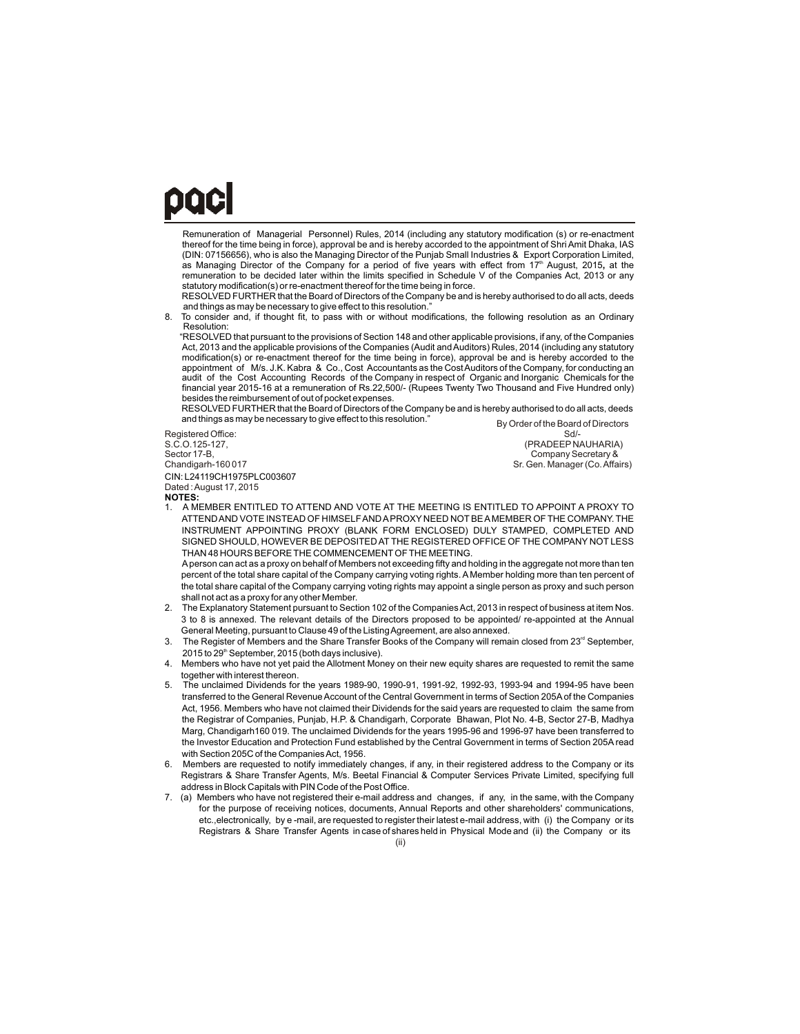## paci Ī

Remuneration of Managerial Personnel) Rules, 2014 (including any statutory modification (s) or re-enactment thereof for the time being in force), approval be and is hereby accorded to the appointment of Shri Amit Dhaka, IAS (DIN: 07156656), who is also the Managing Director of the Punjab Small Industries & Export Corporation Limited, as Managing Director of the Company for a period of five years with effect from 17<sup>th</sup> August, 2015, at the remuneration to be decided later within the limits specified in Schedule V of the Companies Act, 2013 or any statutory modification(s) or re-enactment thereof for the time being in force.

 RESOLVED FURTHER that the Board of Directors of the Company be and is hereby authorised to do all acts, deeds and things as may be necessary to give effect to this resolution.

To consider and, if thought fit, to pass with or without modifications, the following resolution as an Ordinary Resolution:

 "RESOLVED that pursuant to the provisions of Section 148 and other applicable provisions, if any, of the Companies Act, 2013 and the applicable provisions of the Companies (Audit and Auditors) Rules, 2014 (including any statutory modification(s) or re-enactment thereof for the time being in force), approval be and is hereby accorded to the appointment of M/s. J.K. Kabra & Co., Cost Accountants as the Cost Auditors of the Company, for conducting an audit of the Cost Accounting Records of the Company in respect of Organic and Inorganic Chemicals for the financial year 2015-16 at a remuneration of Rs.22,500/- (Rupees Twenty Two Thousand and Five Hundred only) besides the reimbursement of out of pocket expenses.

 RESOLVED FURTHER that the Board of Directors of the Company be and is hereby authorised to do all acts, deeds and things as may be necessary to give effect to this resolution.

CIN: L24119CH1975PLC003607 **NOTES:** Registered Office:<br>S.C.O.125-127. S.C.O.125-127,<br>
S.C.O.125-127,<br>
Sector 17-B, Company Secretary & Sector 17-B, Sector 17-B, Sector 17-B, Sector 17-B, Sector 17-B, Sector 17-B, Sector 17-B, Sector 17-B, Sector 17<br>Chandigarh-160 017 Dated : August 17, 2015

By Order of the Board of Directors<br>Sd/-Sr. Gen. Manager (Co. Affairs)

1. A MEMBER ENTITLED TO ATTEND AND VOTE AT THE MEETING IS ENTITLED TO APPOINT A PROXY TO ATTEND AND VOTE INSTEAD OF HIMSELF AND APROXY NEED NOTBE AMEMBER OF THE COMPANY. THE INSTRUMENT APPOINTING PROXY (BLANK FORM ENCLOSED) DULY STAMPED, COMPLETED AND SIGNED SHOULD, HOWEVER BE DEPOSITED AT THE REGISTERED OFFICE OF THE COMPANY NOT LESS THAN 48 HOURS BEFORE THE COMMENCEMENTOF THE MEETING.

Aperson can act as a proxy on behalf of Members not exceeding fifty and holding in the aggregate not more than ten percent of the total share capital of the Company carrying voting rights. A Member holding more than ten percent of the total share capital of the Company carrying voting rights may appoint a single person as proxy and such person shall not act as a proxy for any other Member.

- 2. The Explanatory Statement pursuant to Section 102 of the Companies Act, 2013 in respect of business at item Nos. 3 to 8 is annexed. The relevant details of the Directors proposed to be appointed/ re-appointed at the Annual General Meeting, pursuant to Clause 49 of the Listing Agreement, are also annexed.
- The Register of Members and the Share Transfer Books of the Company will remain closed from 23<sup>rd</sup> September,  $2015$  to  $29<sup>th</sup>$  September, 2015 (both days inclusive).
- 4. Members who have not yet paid the Allotment Money on their new equity shares are requested to remit the same together with interest thereon.
- 5. The unclaimed Dividends for the years 1989-90, 1990-91, 1991-92, 1992-93, 1993-94 and 1994-95 have been transferred to the General Revenue Account of the Central Government in terms of Section 205Aof the Companies Act, 1956. Members who have not claimed their Dividends for the said years are requested to claim the same from the Registrar of Companies, Punjab, H.P. & Chandigarh, Corporate Bhawan, Plot No. 4-B, Sector 27-B, Madhya Marg, Chandigarh160 019. The unclaimed Dividends for the years 1995-96 and 1996-97 have been transferred to the Investor Education and Protection Fund established by the Central Government in terms of Section 205A read with Section 205C of the Companies Act, 1956.
- 6. Members are requested to notify immediately changes, if any, in their registered address to the Company or its Registrars & Share Transfer Agents, M/s. Beetal Financial & Computer Services Private Limited, specifying full address in Block Capitals with PIN Code of the Post Office.
- 7. (a) Members who have not registered their e-mail address and changes, if any, in the same, with the Company for the purpose of receiving notices, documents, Annual Reports and other shareholders' communications, etc.,electronically, by e -mail, are requested to register their latest e-mail address, with (i) the Company or its Registrars & Share Transfer Agents in case of shares held in Physical Mode and (ii) the Company or its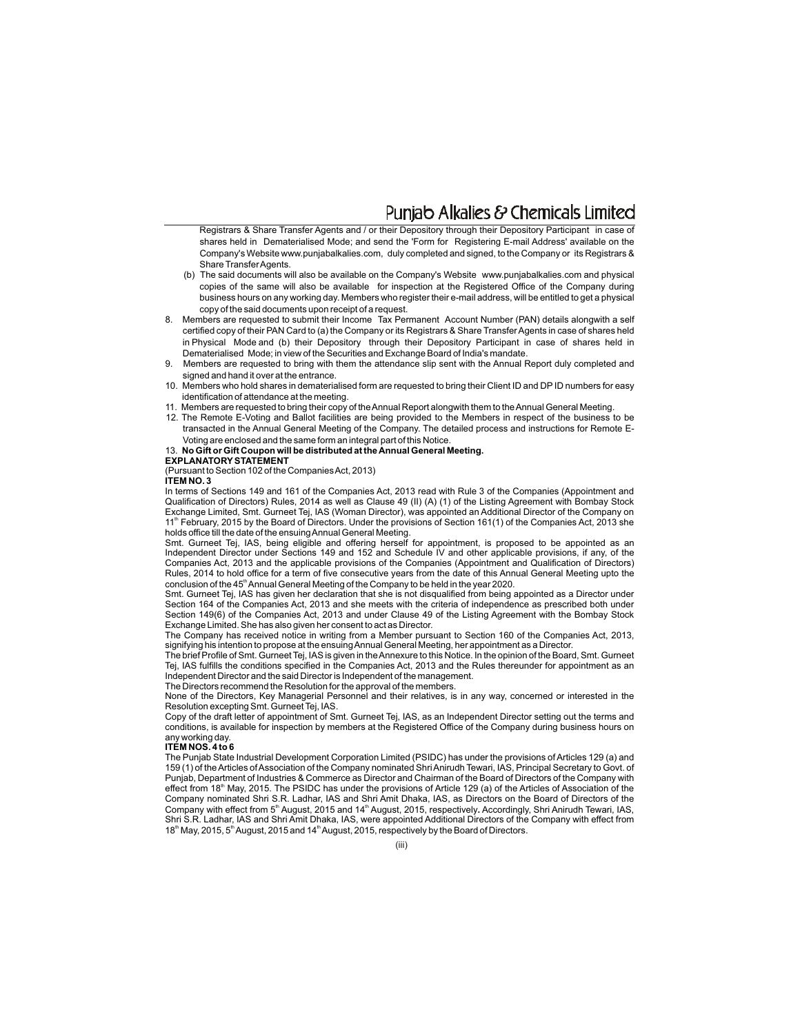## Puniab Alkalies & Chemicals Limited

 Registrars & Share Transfer Agents and / or their Depository through their Depository Participant in case of shares held in Dematerialised Mode; and send the 'Form for Registering E-mail Address' available on the Company's Website www.punjabalkalies.com, duly completed and signed, to the Company or its Registrars & Share Transfer Agents.

- (b) The said documents will also be available on the Company's Website www.punjabalkalies.com and physical copies of the same will also be available for inspection at the Registered Office of the Company during business hours on any working day. Members who register their e-mail address, will be entitled to get a physical copy of the said documents upon receipt of a request.
- 8. Members are requested to submit their Income Tax Permanent Account Number (PAN) details alongwith a self certified copy of their PAN Card to (a) the Company or its Registrars & Share Transfer Agents in case of shares held in Physical Mode and (b) their Depository through their Depository Participant in case of shares held in Dematerialised Mode; in view of the Securities and Exchange Board of India's mandate.
- 9. Members are requested to bring with them the attendance slip sent with the Annual Report duly completed and signed and hand it over at the entrance.
- 10. Members who hold shares in dematerialised form are requested to bring their Client ID and DP ID numbers for easy identification of attendance at the meeting.
- 11. Members are requested to bring their copy of the Annual Report alongwith them to the Annual General Meeting.
- 12. The Remote E-Voting and Ballot facilities are being provided to the Members in respect of the business to be transacted in the Annual General Meeting of the Company. The detailed process and instructions for Remote E-Voting are enclosed and the same form an integral part of this Notice.
- 13. **No Gift or Gift Coupon will be distributed at the Annual General Meeting.**

#### **EXPLANATORYSTATEMENT**

(Pursuant to Section 102 of the Companies Act, 2013)

#### **ITEM NO. 3**

In terms of Sections 149 and 161 of the Companies Act, 2013 read with Rule 3 of the Companies (Appointment and Qualification of Directors) Rules, 2014 as well as Clause 49 (II) (A) (1) of the Listing Agreement with Bombay Stock Exchange Limited, Smt. Gurneet Tej, IAS (Woman Director), was appointed an Additional Director of the Company on 11<sup>th</sup> February, 2015 by the Board of Directors. Under the provisions of Section 161(1) of the Companies Act, 2013 she holds office till the date of the ensuing Annual General Meeting.

Smt. Gurneet Tej, IAS, being eligible and offering herself for appointment, is proposed to be appointed as an Independent Director under Sections 149 and 152 and Schedule IV and other applicable provisions, if any, of the Companies Act, 2013 and the applicable provisions of the Companies (Appointment and Qualification of Directors) Rules, 2014 to hold office for a term of five consecutive years from the date of this Annual General Meeting upto the conclusion of the 45<sup>th</sup> Annual General Meeting of the Company to be held in the year 2020.

Smt. Gurneet Tej, IAS has given her declaration that she is not disqualified from being appointed as a Director under Section 164 of the Companies Act, 2013 and she meets with the criteria of independence as prescribed both under Section 149(6) of the Companies Act, 2013 and under Clause 49 of the Listing Agreement with the Bombay Stock Exchange Limited. She has also given her consent to act as Director.

The Company has received notice in writing from a Member pursuant to Section 160 of the Companies Act, 2013, signifying his intention to propose at the ensuing Annual General Meeting, her appointment as a Director.

The brief Profile of Smt. Gurneet Tej, IAS is given in the Annexure to this Notice. In the opinion of the Board, Smt. Gurneet Tej, IAS fulfills the conditions specified in the Companies Act, 2013 and the Rules thereunder for appointment as an Independent Director and the said Director is Independent of the management.

The Directors recommend the Resolution for the approval of the members.

None of the Directors, Key Managerial Personnel and their relatives, is in any way, concerned or interested in the Resolution excepting Smt. Gurneet Tej, IAS.

Copy of the draft letter of appointment of Smt. Gurneet Tej, IAS, as an Independent Director setting out the terms and conditions, is available for inspection by members at the Registered Office of the Company during business hours on any working day.

#### **ITEM NOS. 4 to 6**

The Punjab State Industrial Development Corporation Limited (PSIDC) has under the provisions of Articles 129 (a) and 159 (1) of the Articles of Association of the Company nominated Shri Anirudh Tewari, IAS, Principal Secretary to Govt. of Punjab, Department of Industries & Commerce as Director and Chairman of the Board of Directors of the Company with effect from 18<sup>th</sup> May, 2015. The PSIDC has under the provisions of Article 129 (a) of the Articles of Association of the Company nominated Shri S.R. Ladhar, IAS and Shri Amit Dhaka, IAS, as Directors on the Board of Directors of the Company with effect from 5<sup>th</sup> August, 2015 and 14<sup>th</sup> August, 2015, respectively. Accordingly, Shri Anirudh Tewari, IAS, Shri S.R. Ladhar, IAS and Shri Amit Dhaka, IAS, were appointed Additional Directors of the Company with effect from 18<sup>th</sup> May, 2015, 5<sup>th</sup> August, 2015 and 14<sup>th</sup> August, 2015, respectively by the Board of Directors.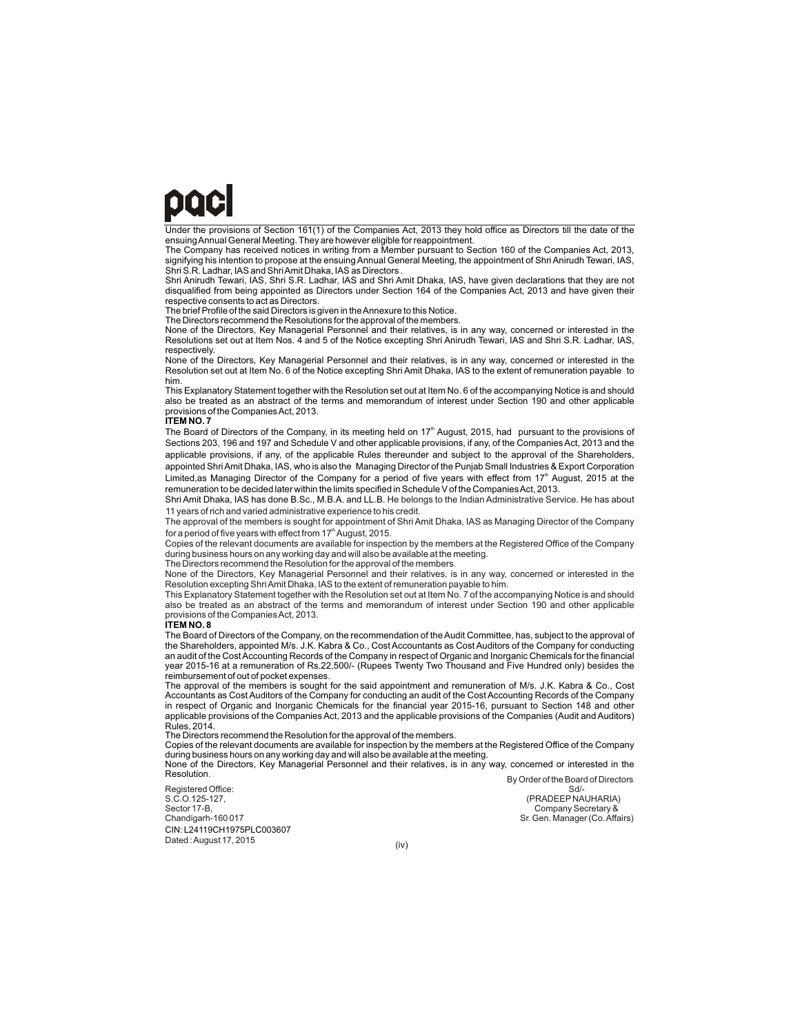# paci

Under the provisions of Section 161(1) of the Companies Act, 2013 they hold office as Directors till the date of the ensuing Annual General Meeting. They are however eligible for reappointment.

The Company has received notices in writing from a Member pursuant to Section 160 of the Companies Act, 2013, signifying his intention to propose at the ensuing Annual General Meeting, the appointment of Shri Anirudh Tewari, IAS, Shri S.R. Ladhar, IAS and Shri Amit Dhaka, IAS as Directors .

Shri Anirudh Tewari, IAS, Shri S.R. Ladhar, IAS and Shri Amit Dhaka, IAS, have given declarations that they are not disqualified from being appointed as Directors under Section 164 of the Companies Act, 2013 and have given their respective consents to act as Directors. The brief Profile of the said Directors is given in the Annexure to this Notice.

The Directors recommend the Resolutions for the approval of the members

None of the Directors, Key Managerial Personnel and their relatives, is in any way, concerned or interested in the Resolutions set out at Item Nos. 4 and 5 of the Notice excepting Shri Anirudh Tewari, IAS and Shri S.R. Ladhar, IAS, respectively.

None of the Directors, Key Managerial Personnel and their relatives, is in any way, concerned or interested in the Resolution set out at Item No. 6 of the Notice excepting Shri Amit Dhaka, IAS to the extent of remuneration payable to him.

This Explanatory Statement together with the Resolution set out at Item No. 6 of the accompanying Notice is and should also be treated as an abstract of the terms and memorandum of interest under Section 190 and other applicable provisions of the Companies Act, 2013.

#### **ITEM NO. 7**

The Board of Directors of the Company, in its meeting held on  $17<sup>th</sup>$  August, 2015, had pursuant to the provisions of Sections 203, 196 and 197 and Schedule V and other applicable provisions, if any, of the Companies Act, 2013 and the applicable provisions, if any, of the applicable Rules thereunder and subject to the approval of the Shareholders, appointed Shri Amit Dhaka, IAS, who is also the Managing Director of the Punjab Small Industries & Export Corporation Limited,as Managing Director of the Company for a period of five years with effect from 17<sup>th</sup> August, 2015 at the remuneration to be decided later within the limits specified in Schedule V of the Companies Act, 2013.

Shri Amit Dhaka, IAS has done B.Sc., M.B.A. and LL.B. He belongs to the Indian Administrative Service. He has about 11 years of rich and varied administrative experience to his credit.

The approval of the members is sought for appointment of Shri Amit Dhaka, IAS as Managing Director of the Company for a period of five years with effect from 17<sup>th</sup> August, 2015.

Copies of the relevant documents are available for inspection by the members at the Registered Office of the Company during business hours on any working day and will also be available at the meeting.

The Directors recommend the Resolution for the approval of the members.

None of the Directors, Key Managerial Personnel and their relatives, is in any way, concerned or interested in the Resolution excepting Shri Amit Dhaka, IAS to the extent of remuneration payable to him.

provisions of the Companies Act, 2013.<br>**ITEM NO. 8** This Explanatory Statement together with the Resolution set out at Item No. 7 of the accompanying Notice is and should also be treated as an abstract of the terms and memorandum of interest under Section 190 and other applicable

The Board of Directors of the Company, on the recommendation of the Audit Committee, has, subject to the approval of the Shareholders, appointed M/s. J.K. Kabra & Co., Cost Accountants as Cost Auditors of the Company for conducting an audit of the Cost Accounting Records of the Company in respect of Organic and Inorganic Chemicals for the financial year 2015-16 at a remuneration of Rs.22,500/- (Rupees Twenty Two Thousand and Five Hundred only) besides the reimbursement of out of pocket expenses.

The approval of the members is sought for the said appointment and remuneration of M/s. J.K. Kabra & Co., Cost Accountants as Cost Auditors of the Company for conducting an audit of the Cost Accounting Records of the Company in respect of Organic and Inorganic Chemicals for the financial year 2015-16, pursuant to Section 148 and other applicable provisions of the Companies Act, 2013 and the applicable provisions of the Companies (Audit and Auditors) Rules, 2014.

The Directors recommend the Resolution for the approval of the members.

Copies of the relevant documents are available for inspection by the members at the Registered Office of the Company during business hours on any working day and will also be available at the meeting.

None of the Directors, Key Managerial Personnel and their relatives, is in any way, concerned or interested in the Resolution.

CIN: L24119CH1975PLC003607 Registered Office:<br>S.C.O.125-127, S.C.O.125-127, (PRADEEP NAUHARIA)<br>Sector 17-B (Company Secretary & Company Secretary & Sector 17-B, Company Secretary & Company Secretary & Company Secretary & Company Secretary & Chandigarh-160 017 Dated : August 17, 2015

 By Order of the Board of Directors Sr. Gen. Manager (Co. Affairs)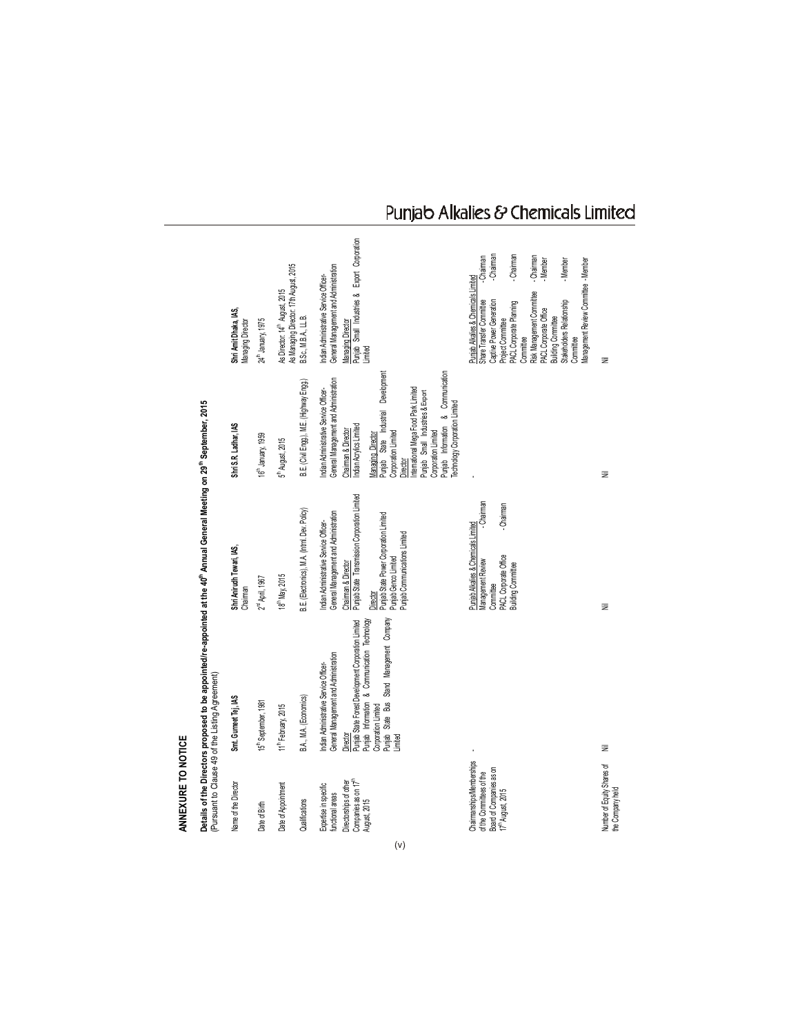| ANNEXURE TO NOTICE                                                                                      |                                                                                                                                                                                                       |                                                                                                                                                        |                                                                                                                                                                                                                                                                             |                                                                                                                                                                                                                                                                                                                                                                                                                 |
|---------------------------------------------------------------------------------------------------------|-------------------------------------------------------------------------------------------------------------------------------------------------------------------------------------------------------|--------------------------------------------------------------------------------------------------------------------------------------------------------|-----------------------------------------------------------------------------------------------------------------------------------------------------------------------------------------------------------------------------------------------------------------------------|-----------------------------------------------------------------------------------------------------------------------------------------------------------------------------------------------------------------------------------------------------------------------------------------------------------------------------------------------------------------------------------------------------------------|
|                                                                                                         | Details of the Directors proposed to be appointed/re-appointed at the 40 <sup>th</sup> Annual General Meeting on 29 <sup>th</sup> September, 2015<br>(Pursuant to Clause 49 of the Listing Agreement) |                                                                                                                                                        |                                                                                                                                                                                                                                                                             |                                                                                                                                                                                                                                                                                                                                                                                                                 |
| Name of the Director                                                                                    | Smt. Gurneet Tej, IAS                                                                                                                                                                                 | Shri Anirudh Tewari, IAS,<br>Chaiman                                                                                                                   | Shri S.R. Ladhar, IAS                                                                                                                                                                                                                                                       | Shri Amit Dhaka, IAS,<br><b>Managing Director</b>                                                                                                                                                                                                                                                                                                                                                               |
| Date of Birth                                                                                           | 15th September, 1981                                                                                                                                                                                  | $2nd$ April, 1967                                                                                                                                      | 16 <sup>th</sup> January, 1959                                                                                                                                                                                                                                              | 24th January, 1975                                                                                                                                                                                                                                                                                                                                                                                              |
| Date of Appointment                                                                                     | 11 <sup>th</sup> February, 2015                                                                                                                                                                       | 18 <sup>th</sup> May, 2015                                                                                                                             | 5 <sup>th</sup> August, 2015                                                                                                                                                                                                                                                | As Managing Director: 17th August, 2015<br>As Director: 14th August, 2015                                                                                                                                                                                                                                                                                                                                       |
| Qualifications                                                                                          | B.A., M.A. (Economics)                                                                                                                                                                                | B.E. (Electronics), M.A. (Intrnl. Dev. Policy)                                                                                                         | B.E. (Civil Engg.), M.E. (Highway Engg.)                                                                                                                                                                                                                                    | B.Sc., M.B.A., LL.B.                                                                                                                                                                                                                                                                                                                                                                                            |
| Companies as on 17 <sup>th</sup><br>Directorships of other<br>Expertise in specific<br>functional areas | Punjab State Forest Development Corporation Limited<br>General Management and Administration<br>ndian Administrative Service Officer-<br>Director                                                     | Punjab State Transmission Corporation Limited<br>General Management and Administration<br>ndian Administrative Service Officer-<br>Chairman & Director | General Management and Administration<br>ndian Administrative Service Officer-<br>Indian Acrylics Limited<br>Chairman & Director                                                                                                                                            | Punjab Small Industries & Export Corporation<br>General Management and Administration<br>ndian Administrative Service Officer-<br>Aanaging Director                                                                                                                                                                                                                                                             |
| August, 2015                                                                                            | Punjab State Bus Stand Management Company<br>Punjab Information & Communication Technology<br>Corporation Limited<br>Limited                                                                          | Punjab State Power Corporation Limited<br>Punjab Communications Limited<br>Punjab Genco Limited<br>Director                                            | Punjab Information & Communication<br>Punjab State Industrial Development<br>ntemational Mega Food Park Limited<br>Punjab Small Industries & Export<br>Technology Corporation Limited<br>Corporation Limited<br>Corporation Limited<br>Managing Director<br><b>Jirector</b> | inited                                                                                                                                                                                                                                                                                                                                                                                                          |
| Chaimanships/Memberships<br>Board of Companies as on<br>of the Committees of the<br>$17th$ August, 2015 |                                                                                                                                                                                                       | Chaiman<br>-Chairman<br>Punjab Alkalies & Chemicals Limited<br>PACL Corporate Office<br>Vlanagement Review<br>Building Committee<br>Committee          |                                                                                                                                                                                                                                                                             | -Chairman<br>Chairman<br>- Chairman<br>-Chairman<br>Vlanagement Review Committee - Member<br>- Member<br>Member<br>Puniab Alkalies & Chemicals Limited<br>Risk Management Committee<br>Captive Power Generation<br>Stakeholders Relationship<br>Share Transfer Committee<br>PACL Corporate Planning<br><b>PACL Corporate Office</b><br><b>Building Committee</b><br>Project Committee<br>Committee<br>Committee |
| Number of Equity Shares of<br>the Company held                                                          | Ξ                                                                                                                                                                                                     | Ξ                                                                                                                                                      | Ξ                                                                                                                                                                                                                                                                           | Ξ                                                                                                                                                                                                                                                                                                                                                                                                               |

## Punjab Alkalies & Chemicals Limited